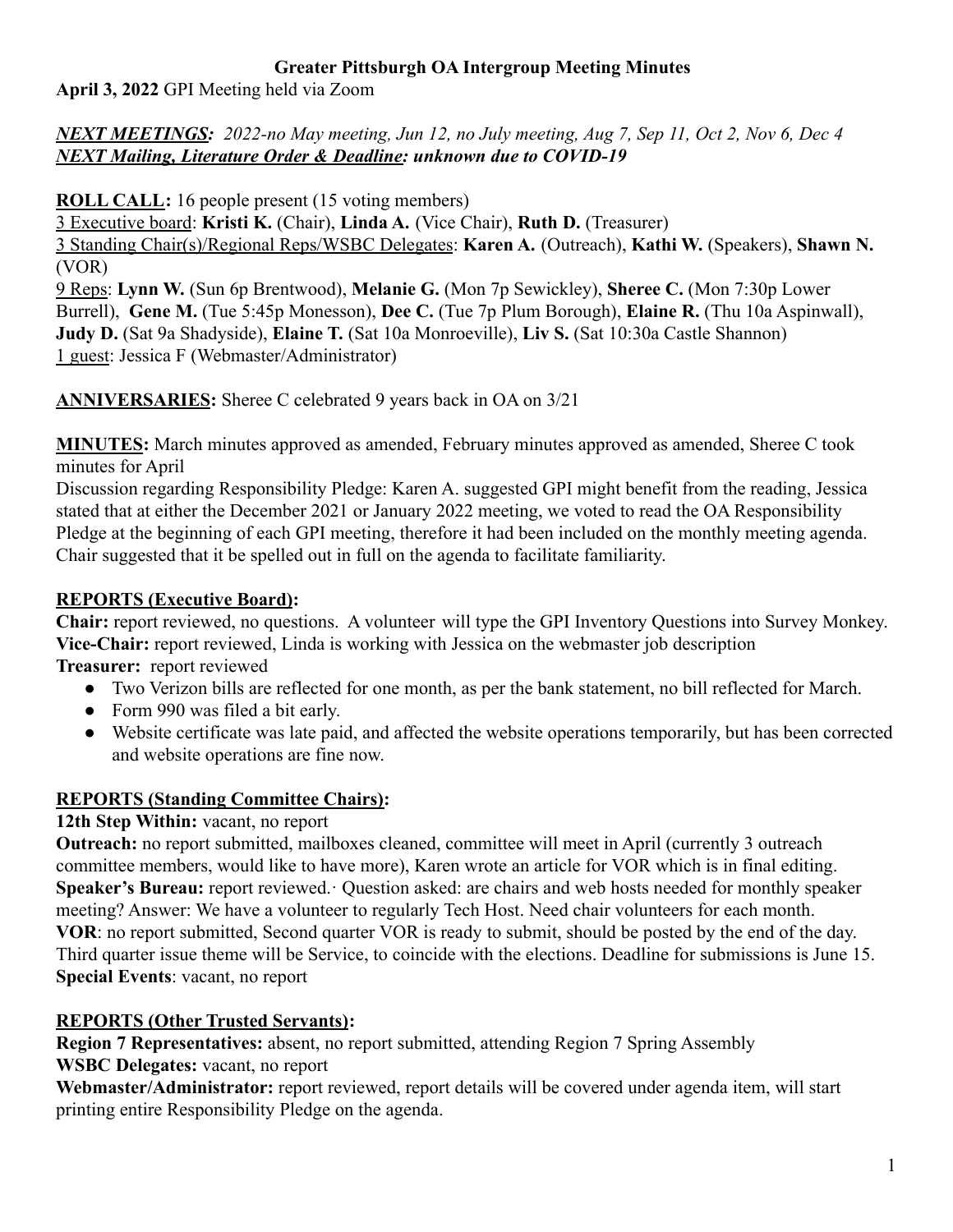### **Greater Pittsburgh OA Intergroup Meeting Minutes**

**April 3, 2022** GPI Meeting held via Zoom

*NEXT MEETINGS: 2022-no May meeting, Jun 12, no July meeting, Aug 7, Sep 11, Oct 2, Nov 6, Dec 4 NEXT Mailing, Literature Order & Deadline: unknown due to COVID-19*

**ROLL CALL:** 16 people present (15 voting members)

3 Executive board: **Kristi K.** (Chair), **Linda A.** (Vice Chair), **Ruth D.** (Treasurer)

3 Standing Chair(s)/Regional Reps/WSBC Delegates: **Karen A.** (Outreach), **Kathi W.** (Speakers), **Shawn N.** (VOR)

9 Reps: **Lynn W.** (Sun 6p Brentwood), **Melanie G.** (Mon 7p Sewickley), **Sheree C.** (Mon 7:30p Lower Burrell), **Gene M.** (Tue 5:45p Monesson), **Dee C.** (Tue 7p Plum Borough), **Elaine R.** (Thu 10a Aspinwall), **Judy D.** (Sat 9a Shadyside), **Elaine T.** (Sat 10a Monroeville), **Liv S.** (Sat 10:30a Castle Shannon) 1 guest: Jessica F (Webmaster/Administrator)

**ANNIVERSARIES:** Sheree C celebrated 9 years back in OA on 3/21

**MINUTES:** March minutes approved as amended, February minutes approved as amended, Sheree C took minutes for April

Discussion regarding Responsibility Pledge: Karen A. suggested GPI might benefit from the reading, Jessica stated that at either the December 2021 or January 2022 meeting, we voted to read the OA Responsibility Pledge at the beginning of each GPI meeting, therefore it had been included on the monthly meeting agenda. Chair suggested that it be spelled out in full on the agenda to facilitate familiarity.

## **REPORTS (Executive Board):**

**Chair:** report reviewed, no questions. A volunteer will type the GPI Inventory Questions into Survey Monkey. **Vice-Chair:** report reviewed, Linda is working with Jessica on the webmaster job description **Treasurer:** report reviewed

- Two Verizon bills are reflected for one month, as per the bank statement, no bill reflected for March.
- Form 990 was filed a bit early.
- Website certificate was late paid, and affected the website operations temporarily, but has been corrected and website operations are fine now.

# **REPORTS (Standing Committee Chairs):**

## **12th Step Within:** vacant, no report

**Outreach:** no report submitted, mailboxes cleaned, committee will meet in April (currently 3 outreach committee members, would like to have more), Karen wrote an article for VOR which is in final editing. **Speaker's Bureau:** report reviewed. Question asked: are chairs and web hosts needed for monthly speaker meeting? Answer: We have a volunteer to regularly Tech Host. Need chair volunteers for each month. **VOR**: no report submitted, Second quarter VOR is ready to submit, should be posted by the end of the day. Third quarter issue theme will be Service, to coincide with the elections. Deadline for submissions is June 15. **Special Events**: vacant, no report

# **REPORTS (Other Trusted Servants):**

**Region 7 Representatives:** absent, no report submitted, attending Region 7 Spring Assembly **WSBC Delegates:** vacant, no report

**Webmaster/Administrator:** report reviewed, report details will be covered under agenda item, will start printing entire Responsibility Pledge on the agenda.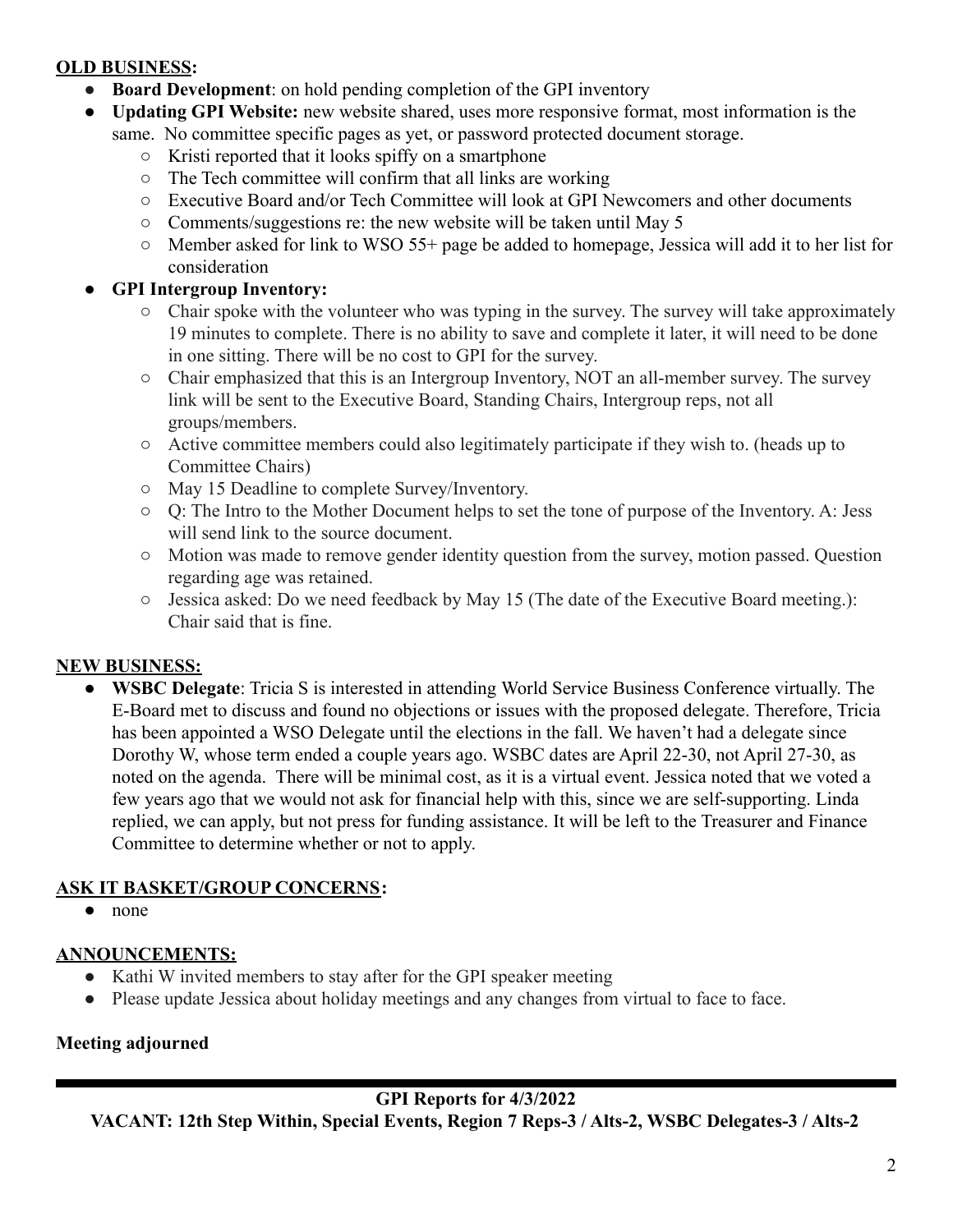### **OLD BUSINESS:**

- **Board Development**: on hold pending completion of the GPI inventory
- **Updating GPI Website:** new website shared, uses more responsive format, most information is the same. No committee specific pages as yet, or password protected document storage.
	- Kristi reported that it looks spiffy on a smartphone
	- The Tech committee will confirm that all links are working
	- Executive Board and/or Tech Committee will look at GPI Newcomers and other documents
	- Comments/suggestions re: the new website will be taken until May 5
	- Member asked for link to WSO 55+ page be added to homepage, Jessica will add it to her list for consideration

## **● GPI Intergroup Inventory:**

- **○** Chair spoke with the volunteer who was typing in the survey. The survey will take approximately 19 minutes to complete. There is no ability to save and complete it later, it will need to be done in one sitting. There will be no cost to GPI for the survey.
- **○** Chair emphasized that this is an Intergroup Inventory, NOT an all-member survey. The survey link will be sent to the Executive Board, Standing Chairs, Intergroup reps, not all groups/members.
- **○** Active committee members could also legitimately participate if they wish to. (heads up to Committee Chairs)
- **○** May 15 Deadline to complete Survey/Inventory.
- **○** Q: The Intro to the Mother Document helps to set the tone of purpose of the Inventory. A: Jess will send link to the source document.
- **○** Motion was made to remove gender identity question from the survey, motion passed. Question regarding age was retained.
- **○** Jessica asked: Do we need feedback by May 15 (The date of the Executive Board meeting.): Chair said that is fine.

## **NEW BUSINESS:**

● **WSBC Delegate**: Tricia S is interested in attending World Service Business Conference virtually. The E-Board met to discuss and found no objections or issues with the proposed delegate. Therefore, Tricia has been appointed a WSO Delegate until the elections in the fall. We haven't had a delegate since Dorothy W, whose term ended a couple years ago. WSBC dates are April 22-30, not April 27-30, as noted on the agenda. There will be minimal cost, as it is a virtual event. Jessica noted that we voted a few years ago that we would not ask for financial help with this, since we are self-supporting. Linda replied, we can apply, but not press for funding assistance. It will be left to the Treasurer and Finance Committee to determine whether or not to apply.

# **ASK IT BASKET/GROUP CONCERNS:**

● none

## **ANNOUNCEMENTS:**

- Kathi W invited members to stay after for the GPI speaker meeting
- Please update Jessica about holiday meetings and any changes from virtual to face to face.

## **Meeting adjourned**

## **GPI Reports for 4/3/2022**

**VACANT: 12th Step Within, Special Events, Region 7 Reps-3 / Alts-2, WSBC Delegates-3 / Alts-2**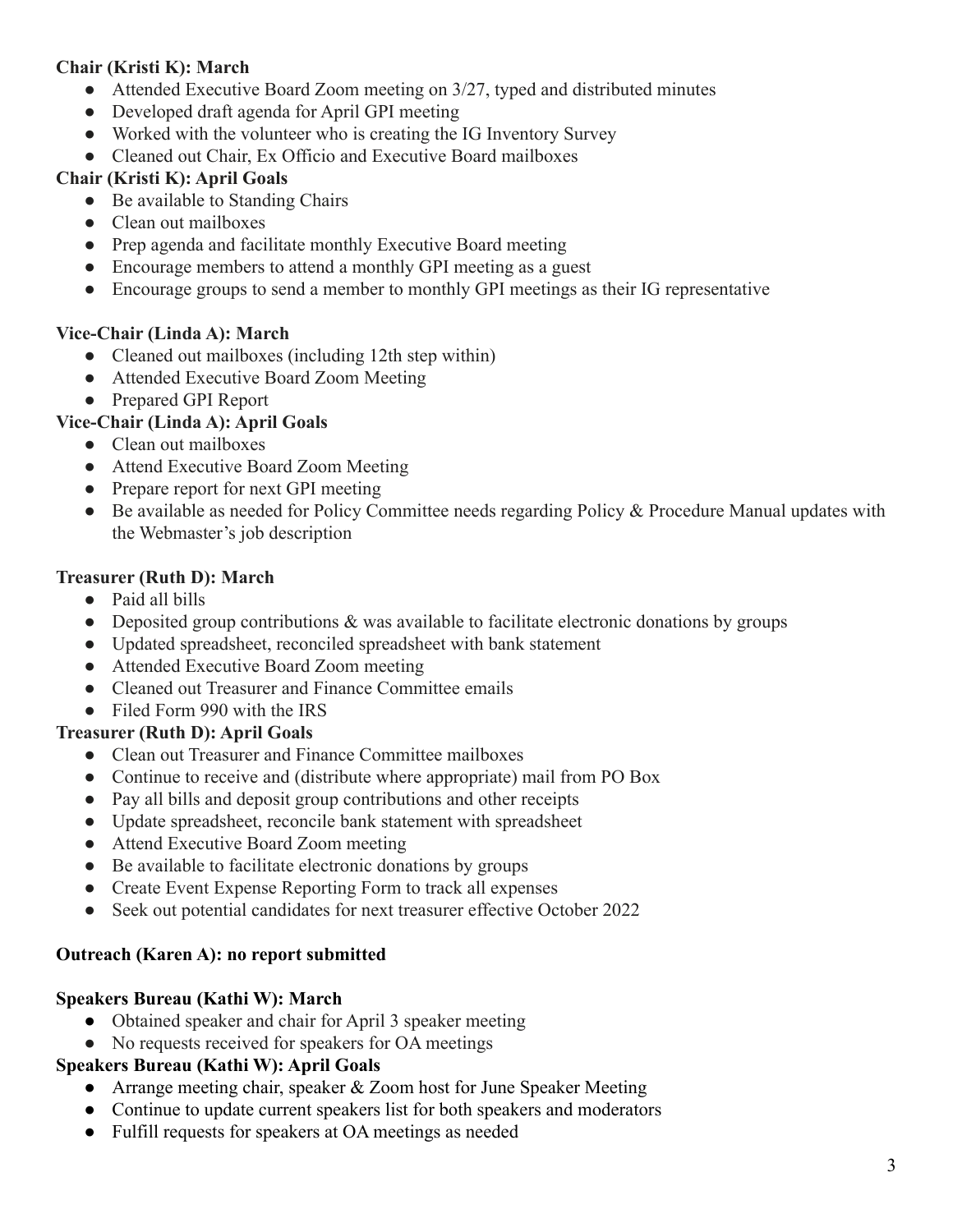### **Chair (Kristi K): March**

- Attended Executive Board Zoom meeting on 3/27, typed and distributed minutes
- Developed draft agenda for April GPI meeting
- Worked with the volunteer who is creating the IG Inventory Survey
- Cleaned out Chair, Ex Officio and Executive Board mailboxes

### **Chair (Kristi K): April Goals**

- Be available to Standing Chairs
- Clean out mailboxes
- Prep agenda and facilitate monthly Executive Board meeting
- Encourage members to attend a monthly GPI meeting as a guest
- Encourage groups to send a member to monthly GPI meetings as their IG representative

### **Vice-Chair (Linda A): March**

- Cleaned out mailboxes (including 12th step within)
- Attended Executive Board Zoom Meeting
- Prepared GPI Report

### **Vice-Chair (Linda A): April Goals**

- Clean out mailboxes
- Attend Executive Board Zoom Meeting
- Prepare report for next GPI meeting
- Be available as needed for Policy Committee needs regarding Policy & Procedure Manual updates with the Webmaster's job description

### **Treasurer (Ruth D): March**

- Paid all bills
- Deposited group contributions & was available to facilitate electronic donations by groups
- Updated spreadsheet, reconciled spreadsheet with bank statement
- Attended Executive Board Zoom meeting
- Cleaned out Treasurer and Finance Committee emails
- Filed Form 990 with the IRS

### **Treasurer (Ruth D): April Goals**

- Clean out Treasurer and Finance Committee mailboxes
- Continue to receive and (distribute where appropriate) mail from PO Box
- Pay all bills and deposit group contributions and other receipts
- Update spreadsheet, reconcile bank statement with spreadsheet
- Attend Executive Board Zoom meeting
- Be available to facilitate electronic donations by groups
- Create Event Expense Reporting Form to track all expenses
- Seek out potential candidates for next treasurer effective October 2022

### **Outreach (Karen A): no report submitted**

### **Speakers Bureau (Kathi W): March**

- Obtained speaker and chair for April 3 speaker meeting
- No requests received for speakers for OA meetings

### **Speakers Bureau (Kathi W): April Goals**

- Arrange meeting chair, speaker & Zoom host for June Speaker Meeting
- Continue to update current speakers list for both speakers and moderators
- Fulfill requests for speakers at OA meetings as needed